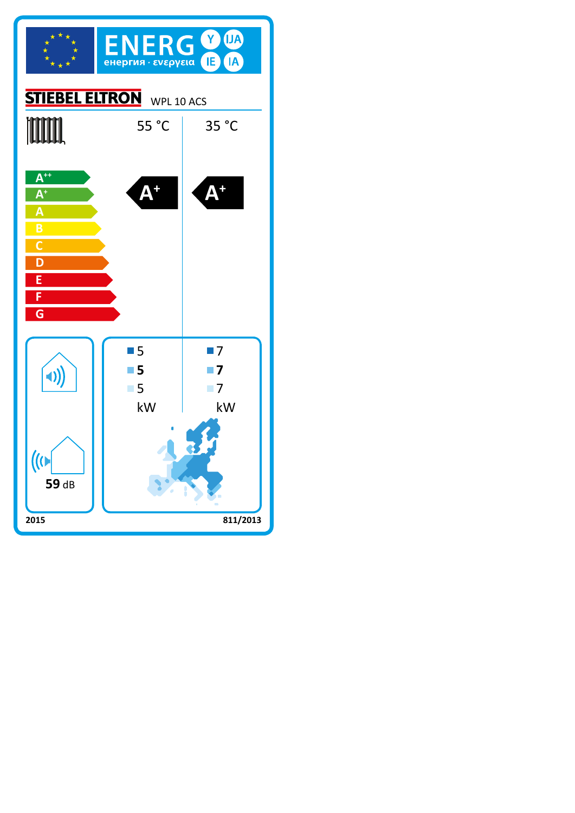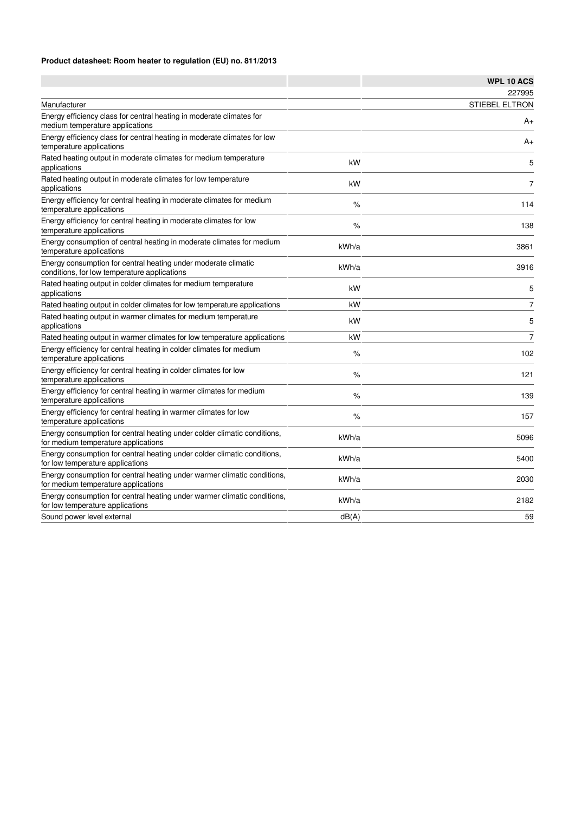## **Product datasheet: Room heater to regulation (EU) no. 811/2013**

|                                                                                                                 |       | <b>WPL 10 ACS</b>     |
|-----------------------------------------------------------------------------------------------------------------|-------|-----------------------|
|                                                                                                                 |       | 227995                |
| Manufacturer                                                                                                    |       | <b>STIEBEL ELTRON</b> |
| Energy efficiency class for central heating in moderate climates for<br>medium temperature applications         |       | $A+$                  |
| Energy efficiency class for central heating in moderate climates for low<br>temperature applications            |       | $A+$                  |
| Rated heating output in moderate climates for medium temperature<br>applications                                | kW    | 5                     |
| Rated heating output in moderate climates for low temperature<br>applications                                   | kW    | $\overline{7}$        |
| Energy efficiency for central heating in moderate climates for medium<br>temperature applications               | $\%$  | 114                   |
| Energy efficiency for central heating in moderate climates for low<br>temperature applications                  | %     | 138                   |
| Energy consumption of central heating in moderate climates for medium<br>temperature applications               | kWh/a | 3861                  |
| Energy consumption for central heating under moderate climatic<br>conditions, for low temperature applications  | kWh/a | 3916                  |
| Rated heating output in colder climates for medium temperature<br>applications                                  | kW    | 5                     |
| Rated heating output in colder climates for low temperature applications                                        | kW    | $\overline{7}$        |
| Rated heating output in warmer climates for medium temperature<br>applications                                  | kW    | 5                     |
| Rated heating output in warmer climates for low temperature applications                                        | kW    | $\overline{7}$        |
| Energy efficiency for central heating in colder climates for medium<br>temperature applications                 | $\%$  | 102                   |
| Energy efficiency for central heating in colder climates for low<br>temperature applications                    | $\%$  | 121                   |
| Energy efficiency for central heating in warmer climates for medium<br>temperature applications                 | $\%$  | 139                   |
| Energy efficiency for central heating in warmer climates for low<br>temperature applications                    | $\%$  | 157                   |
| Energy consumption for central heating under colder climatic conditions,<br>for medium temperature applications | kWh/a | 5096                  |
| Energy consumption for central heating under colder climatic conditions,<br>for low temperature applications    | kWh/a | 5400                  |
| Energy consumption for central heating under warmer climatic conditions,<br>for medium temperature applications | kWh/a | 2030                  |
| Energy consumption for central heating under warmer climatic conditions,<br>for low temperature applications    | kWh/a | 2182                  |
| Sound power level external                                                                                      | dB(A) | 59                    |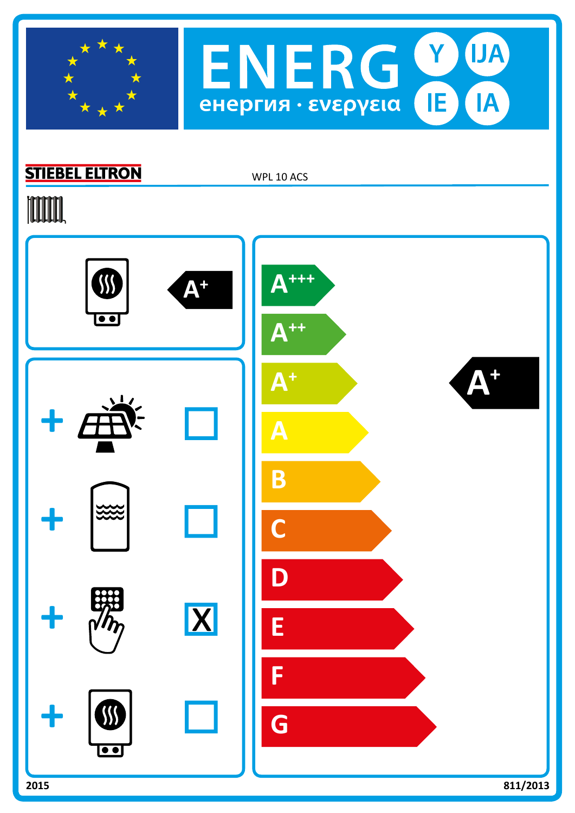



## **STIEBEL ELTRON**

WPL 10 ACS

# **TOOTAL**

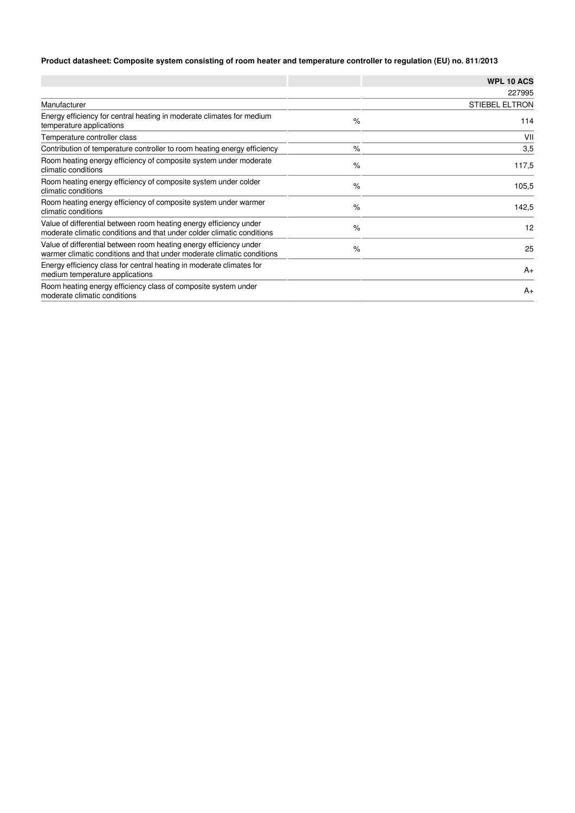## **Product datasheet: Composite system consisting of room heater and temperature controller to regulation (EU) no. 811/2013**

|                                                                                                                                              |      | <b>WPL 10 ACS</b>     |
|----------------------------------------------------------------------------------------------------------------------------------------------|------|-----------------------|
|                                                                                                                                              |      | 227995                |
| Manufacturer                                                                                                                                 |      | <b>STIEBEL ELTRON</b> |
| Energy efficiency for central heating in moderate climates for medium<br>temperature applications                                            | $\%$ | 114                   |
| Temperature controller class                                                                                                                 |      | VII                   |
| Contribution of temperature controller to room heating energy efficiency                                                                     | $\%$ | 3,5                   |
| Room heating energy efficiency of composite system under moderate<br>climatic conditions                                                     | $\%$ | 117,5                 |
| Room heating energy efficiency of composite system under colder<br>climatic conditions                                                       | $\%$ | 105,5                 |
| Room heating energy efficiency of composite system under warmer<br>climatic conditions                                                       | $\%$ | 142,5                 |
| Value of differential between room heating energy efficiency under<br>moderate climatic conditions and that under colder climatic conditions | $\%$ | 12                    |
| Value of differential between room heating energy efficiency under<br>warmer climatic conditions and that under moderate climatic conditions | $\%$ | 25                    |
| Energy efficiency class for central heating in moderate climates for<br>medium temperature applications                                      |      | $A+$                  |
| Room heating energy efficiency class of composite system under<br>moderate climatic conditions                                               |      | $A+$                  |